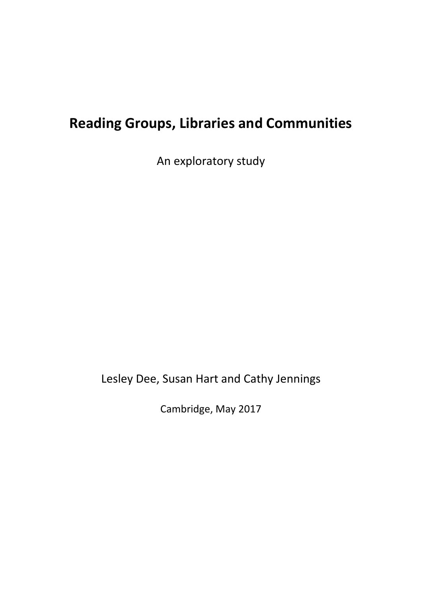# **Reading Groups, Libraries and Communities**

An exploratory study

Lesley Dee, Susan Hart and Cathy Jennings

Cambridge, May 2017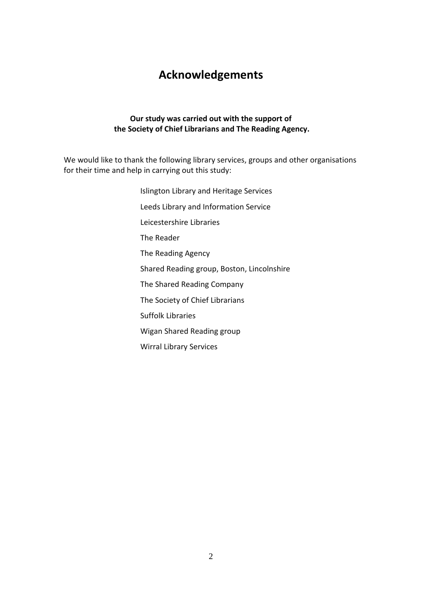# **Acknowledgements**

#### **Our study was carried out with the support of the Society of Chief Librarians and The Reading Agency.**

We would like to thank the following library services, groups and other organisations for their time and help in carrying out this study:

> Islington Library and Heritage Services Leeds Library and Information Service Leicestershire Libraries The Reader The Reading Agency Shared Reading group, Boston, Lincolnshire The Shared Reading Company The Society of Chief Librarians Suffolk Libraries Wigan Shared Reading group Wirral Library Services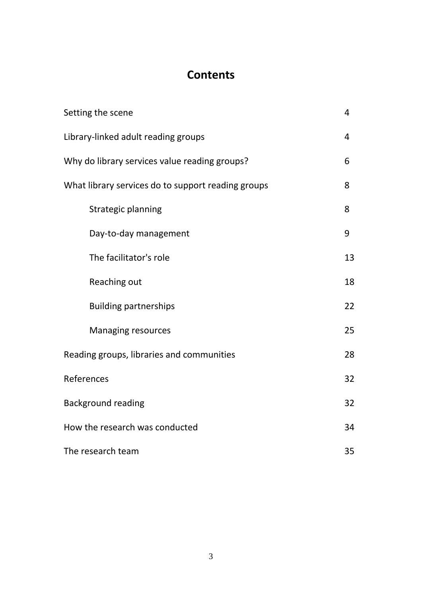# **Contents**

| Setting the scene                                  | $\overline{4}$ |  |
|----------------------------------------------------|----------------|--|
| Library-linked adult reading groups                |                |  |
| Why do library services value reading groups?      | 6              |  |
| What library services do to support reading groups | 8              |  |
| <b>Strategic planning</b>                          | 8              |  |
| Day-to-day management                              | 9              |  |
| The facilitator's role                             | 13             |  |
| Reaching out                                       | 18             |  |
| <b>Building partnerships</b>                       | 22             |  |
| <b>Managing resources</b>                          | 25             |  |
| Reading groups, libraries and communities          | 28             |  |
| References                                         |                |  |
| <b>Background reading</b>                          |                |  |
| How the research was conducted                     |                |  |
| The research team                                  |                |  |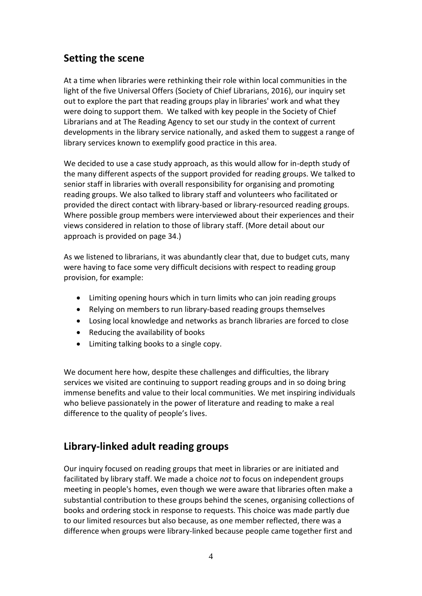# **Setting the scene**

At a time when libraries were rethinking their role within local communities in the light of the five Universal Offers (Society of Chief Librarians, 2016), our inquiry set out to explore the part that reading groups play in libraries' work and what they were doing to support them. We talked with key people in the Society of Chief Librarians and at The Reading Agency to set our study in the context of current developments in the library service nationally, and asked them to suggest a range of library services known to exemplify good practice in this area.

We decided to use a case study approach, as this would allow for in-depth study of the many different aspects of the support provided for reading groups. We talked to senior staff in libraries with overall responsibility for organising and promoting reading groups. We also talked to library staff and volunteers who facilitated or provided the direct contact with library-based or library-resourced reading groups. Where possible group members were interviewed about their experiences and their views considered in relation to those of library staff. (More detail about our approach is provided on page 34.)

As we listened to librarians, it was abundantly clear that, due to budget cuts, many were having to face some very difficult decisions with respect to reading group provision, for example:

- Limiting opening hours which in turn limits who can join reading groups
- Relying on members to run library-based reading groups themselves
- Losing local knowledge and networks as branch libraries are forced to close
- Reducing the availability of books
- Limiting talking books to a single copy.

We document here how, despite these challenges and difficulties, the library services we visited are continuing to support reading groups and in so doing bring immense benefits and value to their local communities. We met inspiring individuals who believe passionately in the power of literature and reading to make a real difference to the quality of people's lives.

# **Library-linked adult reading groups**

Our inquiry focused on reading groups that meet in libraries or are initiated and facilitated by library staff. We made a choice *not* to focus on independent groups meeting in people's homes, even though we were aware that libraries often make a substantial contribution to these groups behind the scenes, organising collections of books and ordering stock in response to requests. This choice was made partly due to our limited resources but also because, as one member reflected, there was a difference when groups were library-linked because people came together first and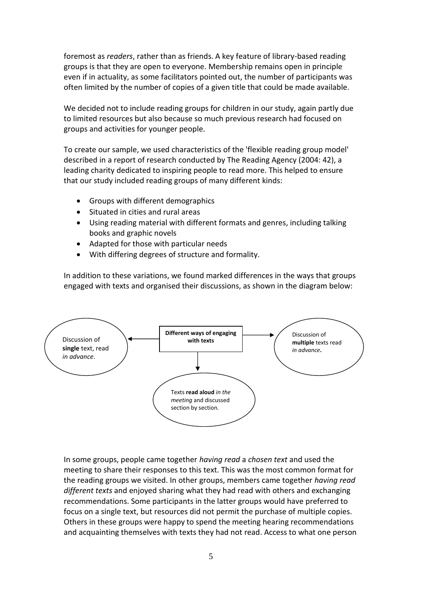foremost as *readers*, rather than as friends. A key feature of library-based reading groups is that they are open to everyone. Membership remains open in principle even if in actuality, as some facilitators pointed out, the number of participants was often limited by the number of copies of a given title that could be made available.

We decided not to include reading groups for children in our study, again partly due to limited resources but also because so much previous research had focused on groups and activities for younger people.

To create our sample, we used characteristics of the 'flexible reading group model' described in a report of research conducted by The Reading Agency (2004: 42), a leading charity dedicated to inspiring people to read more. This helped to ensure that our study included reading groups of many different kinds:

- Groups with different demographics
- Situated in cities and rural areas
- Using reading material with different formats and genres, including talking books and graphic novels
- Adapted for those with particular needs
- With differing degrees of structure and formality.

In addition to these variations, we found marked differences in the ways that groups engaged with texts and organised their discussions, as shown in the diagram below:



In some groups, people came together *having read* a *chosen text* and used the meeting to share their responses to this text. This was the most common format for the reading groups we visited. In other groups, members came together *having read different texts* and enjoyed sharing what they had read with others and exchanging recommendations. Some participants in the latter groups would have preferred to focus on a single text, but resources did not permit the purchase of multiple copies. Others in these groups were happy to spend the meeting hearing recommendations and acquainting themselves with texts they had not read. Access to what one person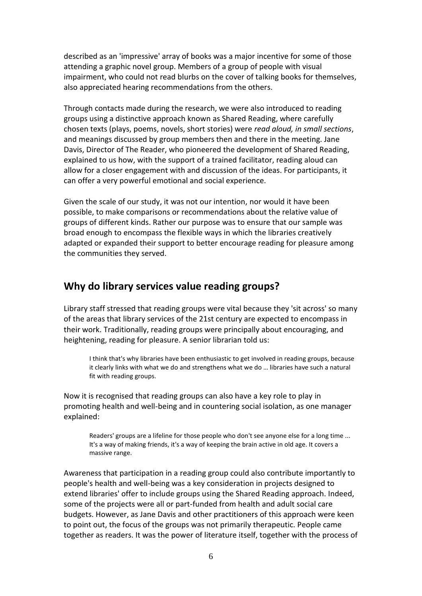described as an 'impressive' array of books was a major incentive for some of those attending a graphic novel group. Members of a group of people with visual impairment, who could not read blurbs on the cover of talking books for themselves, also appreciated hearing recommendations from the others.

Through contacts made during the research, we were also introduced to reading groups using a distinctive approach known as Shared Reading, where carefully chosen texts (plays, poems, novels, short stories) were *read aloud, in small sections*, and meanings discussed by group members then and there in the meeting. Jane Davis, Director of The Reader, who pioneered the development of Shared Reading, explained to us how, with the support of a trained facilitator, reading aloud can allow for a closer engagement with and discussion of the ideas. For participants, it can offer a very powerful emotional and social experience.

Given the scale of our study, it was not our intention, nor would it have been possible, to make comparisons or recommendations about the relative value of groups of different kinds. Rather our purpose was to ensure that our sample was broad enough to encompass the flexible ways in which the libraries creatively adapted or expanded their support to better encourage reading for pleasure among the communities they served.

# **Why do library services value reading groups?**

Library staff stressed that reading groups were vital because they 'sit across' so many of the areas that library services of the 21st century are expected to encompass in their work. Traditionally, reading groups were principally about encouraging, and heightening, reading for pleasure. A senior librarian told us:

I think that's why libraries have been enthusiastic to get involved in reading groups, because it clearly links with what we do and strengthens what we do … libraries have such a natural fit with reading groups.

Now it is recognised that reading groups can also have a key role to play in promoting health and well-being and in countering social isolation, as one manager explained:

Readers' groups are a lifeline for those people who don't see anyone else for a long time ... It's a way of making friends, it's a way of keeping the brain active in old age. It covers a massive range.

Awareness that participation in a reading group could also contribute importantly to people's health and well-being was a key consideration in projects designed to extend libraries' offer to include groups using the Shared Reading approach. Indeed, some of the projects were all or part-funded from health and adult social care budgets. However, as Jane Davis and other practitioners of this approach were keen to point out, the focus of the groups was not primarily therapeutic. People came together as readers. It was the power of literature itself, together with the process of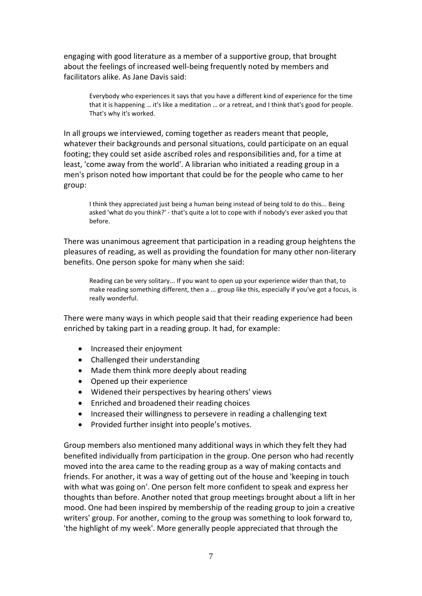engaging with good literature as a member of a supportive group, that brought about the feelings of increased well-being frequently noted by members and facilitators alike. As Jane Davis said:

Everybody who experiences it says that you have a different kind of experience for the time that it is happening … it's like a meditation … or a retreat, and I think that's good for people. That's why it's worked.

In all groups we interviewed, coming together as readers meant that people, whatever their backgrounds and personal situations, could participate on an equal footing; they could set aside ascribed roles and responsibilities and, for a time at least, 'come away from the world'. A librarian who initiated a reading group in a men's prison noted how important that could be for the people who came to her group:

I think they appreciated just being a human being instead of being told to do this... Being asked 'what do you think?' - that's quite a lot to cope with if nobody's ever asked you that before.

There was unanimous agreement that participation in a reading group heightens the pleasures of reading, as well as providing the foundation for many other non-literary benefits. One person spoke for many when she said:

Reading can be very solitary... If you want to open up your experience wider than that, to make reading something different, then a ... group like this, especially if you've got a focus, is really wonderful.

There were many ways in which people said that their reading experience had been enriched by taking part in a reading group. It had, for example:

- Increased their enjoyment
- Challenged their understanding
- Made them think more deeply about reading
- Opened up their experience
- Widened their perspectives by hearing others' views
- Enriched and broadened their reading choices
- Increased their willingness to persevere in reading a challenging text
- Provided further insight into people's motives.

Group members also mentioned many additional ways in which they felt they had benefited individually from participation in the group. One person who had recently moved into the area came to the reading group as a way of making contacts and friends. For another, it was a way of getting out of the house and 'keeping in touch with what was going on'. One person felt more confident to speak and express her thoughts than before. Another noted that group meetings brought about a lift in her mood. One had been inspired by membership of the reading group to join a creative writers' group. For another, coming to the group was something to look forward to, 'the highlight of my week'. More generally people appreciated that through the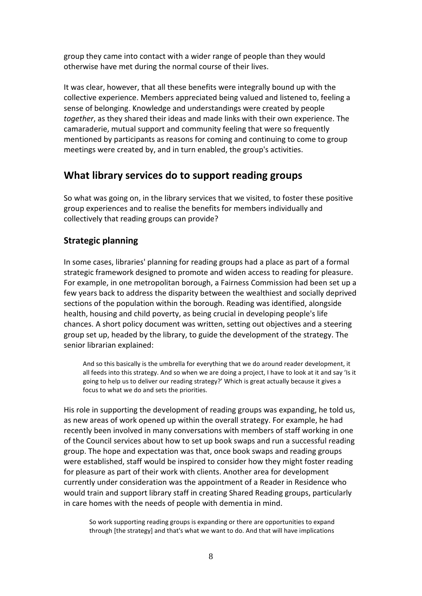group they came into contact with a wider range of people than they would otherwise have met during the normal course of their lives.

It was clear, however, that all these benefits were integrally bound up with the collective experience. Members appreciated being valued and listened to, feeling a sense of belonging. Knowledge and understandings were created by people *together*, as they shared their ideas and made links with their own experience. The camaraderie, mutual support and community feeling that were so frequently mentioned by participants as reasons for coming and continuing to come to group meetings were created by, and in turn enabled, the group's activities.

# **What library services do to support reading groups**

So what was going on, in the library services that we visited, to foster these positive group experiences and to realise the benefits for members individually and collectively that reading groups can provide?

# **Strategic planning**

In some cases, libraries' planning for reading groups had a place as part of a formal strategic framework designed to promote and widen access to reading for pleasure. For example, in one metropolitan borough, a Fairness Commission had been set up a few years back to address the disparity between the wealthiest and socially deprived sections of the population within the borough. Reading was identified, alongside health, housing and child poverty, as being crucial in developing people's life chances. A short policy document was written, setting out objectives and a steering group set up, headed by the library, to guide the development of the strategy. The senior librarian explained:

And so this basically is the umbrella for everything that we do around reader development, it all feeds into this strategy. And so when we are doing a project, I have to look at it and say 'Is it going to help us to deliver our reading strategy?' Which is great actually because it gives a focus to what we do and sets the priorities.

His role in supporting the development of reading groups was expanding, he told us, as new areas of work opened up within the overall strategy. For example, he had recently been involved in many conversations with members of staff working in one of the Council services about how to set up book swaps and run a successful reading group. The hope and expectation was that, once book swaps and reading groups were established, staff would be inspired to consider how they might foster reading for pleasure as part of their work with clients. Another area for development currently under consideration was the appointment of a Reader in Residence who would train and support library staff in creating Shared Reading groups, particularly in care homes with the needs of people with dementia in mind.

So work supporting reading groups is expanding or there are opportunities to expand through [the strategy] and that's what we want to do. And that will have implications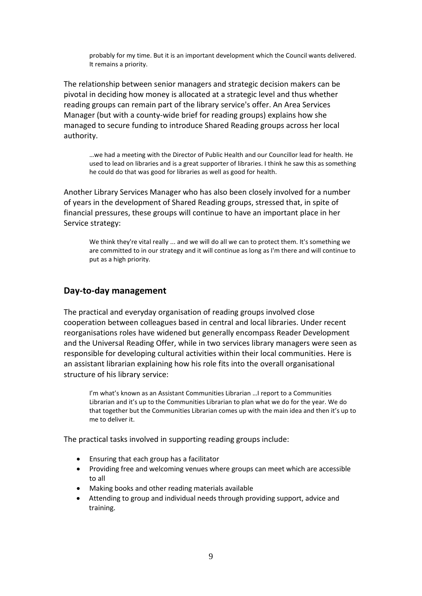probably for my time. But it is an important development which the Council wants delivered. It remains a priority.

The relationship between senior managers and strategic decision makers can be pivotal in deciding how money is allocated at a strategic level and thus whether reading groups can remain part of the library service's offer. An Area Services Manager (but with a county-wide brief for reading groups) explains how she managed to secure funding to introduce Shared Reading groups across her local authority.

…we had a meeting with the Director of Public Health and our Councillor lead for health. He used to lead on libraries and is a great supporter of libraries. I think he saw this as something he could do that was good for libraries as well as good for health.

Another Library Services Manager who has also been closely involved for a number of years in the development of Shared Reading groups, stressed that, in spite of financial pressures, these groups will continue to have an important place in her Service strategy:

We think they're vital really ... and we will do all we can to protect them. It's something we are committed to in our strategy and it will continue as long as I'm there and will continue to put as a high priority*.*

#### **Day-to-day management**

The practical and everyday organisation of reading groups involved close cooperation between colleagues based in central and local libraries. Under recent reorganisations roles have widened but generally encompass Reader Development and the Universal Reading Offer, while in two services library managers were seen as responsible for developing cultural activities within their local communities. Here is an assistant librarian explaining how his role fits into the overall organisational structure of his library service:

I'm what's known as an Assistant Communities Librarian …I report to a Communities Librarian and it's up to the Communities Librarian to plan what we do for the year. We do that together but the Communities Librarian comes up with the main idea and then it's up to me to deliver it.

The practical tasks involved in supporting reading groups include:

- Ensuring that each group has a facilitator
- Providing free and welcoming venues where groups can meet which are accessible to all
- Making books and other reading materials available
- Attending to group and individual needs through providing support, advice and training.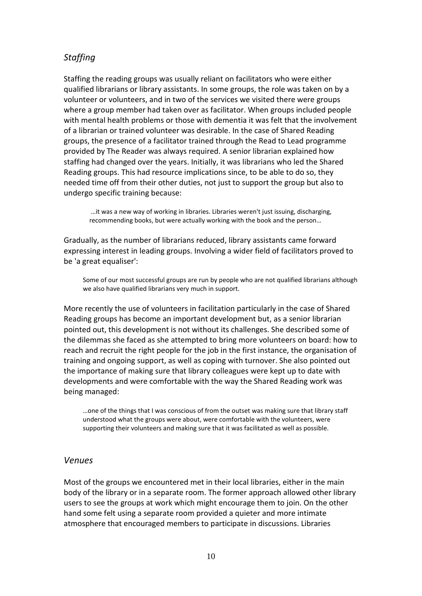# *Staffing*

Staffing the reading groups was usually reliant on facilitators who were either qualified librarians or library assistants. In some groups, the role was taken on by a volunteer or volunteers, and in two of the services we visited there were groups where a group member had taken over as facilitator. When groups included people with mental health problems or those with dementia it was felt that the involvement of a librarian or trained volunteer was desirable. In the case of Shared Reading groups, the presence of a facilitator trained through the Read to Lead programme provided by The Reader was always required. A senior librarian explained how staffing had changed over the years. Initially, it was librarians who led the Shared Reading groups. This had resource implications since, to be able to do so, they needed time off from their other duties, not just to support the group but also to undergo specific training because:

…it was a new way of working in libraries. Libraries weren't just issuing, discharging, recommending books, but were actually working with the book and the person…

Gradually, as the number of librarians reduced, library assistants came forward expressing interest in leading groups. Involving a wider field of facilitators proved to be 'a great equaliser':

Some of our most successful groups are run by people who are not qualified librarians although we also have qualified librarians very much in support.

More recently the use of volunteers in facilitation particularly in the case of Shared Reading groups has become an important development but, as a senior librarian pointed out, this development is not without its challenges. She described some of the dilemmas she faced as she attempted to bring more volunteers on board: how to reach and recruit the right people for the job in the first instance, the organisation of training and ongoing support, as well as coping with turnover. She also pointed out the importance of making sure that library colleagues were kept up to date with developments and were comfortable with the way the Shared Reading work was being managed:

…one of the things that I was conscious of from the outset was making sure that library staff understood what the groups were about, were comfortable with the volunteers, were supporting their volunteers and making sure that it was facilitated as well as possible.

#### *Venues*

Most of the groups we encountered met in their local libraries, either in the main body of the library or in a separate room. The former approach allowed other library users to see the groups at work which might encourage them to join. On the other hand some felt using a separate room provided a quieter and more intimate atmosphere that encouraged members to participate in discussions. Libraries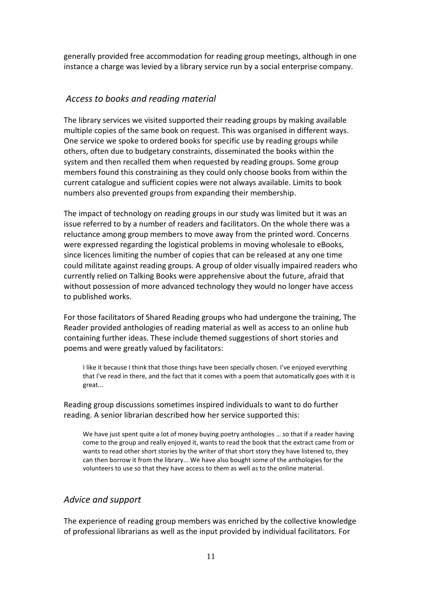generally provided free accommodation for reading group meetings, although in one instance a charge was levied by a library service run by a social enterprise company.

# *Access to books and reading material*

The library services we visited supported their reading groups by making available multiple copies of the same book on request. This was organised in different ways. One service we spoke to ordered books for specific use by reading groups while others, often due to budgetary constraints, disseminated the books within the system and then recalled them when requested by reading groups. Some group members found this constraining as they could only choose books from within the current catalogue and sufficient copies were not always available. Limits to book numbers also prevented groups from expanding their membership.

The impact of technology on reading groups in our study was limited but it was an issue referred to by a number of readers and facilitators. On the whole there was a reluctance among group members to move away from the printed word. Concerns were expressed regarding the logistical problems in moving wholesale to eBooks, since licences limiting the number of copies that can be released at any one time could militate against reading groups. A group of older visually impaired readers who currently relied on Talking Books were apprehensive about the future, afraid that without possession of more advanced technology they would no longer have access to published works.

For those facilitators of Shared Reading groups who had undergone the training, The Reader provided anthologies of reading material as well as access to an online hub containing further ideas. These include themed suggestions of short stories and poems and were greatly valued by facilitators:

I like it because I think that those things have been specially chosen. I've enjoyed everything that I've read in there, and the fact that it comes with a poem that automatically goes with it is great...

Reading group discussions sometimes inspired individuals to want to do further reading. A senior librarian described how her service supported this:

We have just spent quite a lot of money buying poetry anthologies ... so that if a reader having come to the group and really enjoyed it, wants to read the book that the extract came from or wants to read other short stories by the writer of that short story they have listened to, they can then borrow it from the library... We have also bought some of the anthologies for the volunteers to use so that they have access to them as well as to the online material.

# *Advice and support*

The experience of reading group members was enriched by the collective knowledge of professional librarians as well as the input provided by individual facilitators. For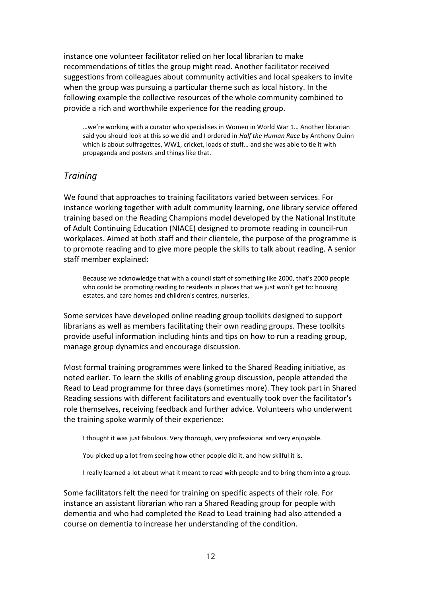instance one volunteer facilitator relied on her local librarian to make recommendations of titles the group might read. Another facilitator received suggestions from colleagues about community activities and local speakers to invite when the group was pursuing a particular theme such as local history. In the following example the collective resources of the whole community combined to provide a rich and worthwhile experience for the reading group.

…we're working with a curator who specialises in Women in World War 1… Another librarian said you should look at this so we did and I ordered in *Half the Human Race* by Anthony Quinn which is about suffragettes, WW1, cricket, loads of stuff… and she was able to tie it with propaganda and posters and things like that.

# *Training*

We found that approaches to training facilitators varied between services. For instance working together with adult community learning, one library service offered training based on the Reading Champions model developed by the National Institute of Adult Continuing Education (NIACE) designed to promote reading in council-run workplaces. Aimed at both staff and their clientele, the purpose of the programme is to promote reading and to give more people the skills to talk about reading. A senior staff member explained:

Because we acknowledge that with a council staff of something like 2000, that's 2000 people who could be promoting reading to residents in places that we just won't get to: housing estates, and care homes and children's centres, nurseries.

Some services have developed online reading group toolkits designed to support librarians as well as members facilitating their own reading groups. These toolkits provide useful information including hints and tips on how to run a reading group, manage group dynamics and encourage discussion.

Most formal training programmes were linked to the Shared Reading initiative, as noted earlier*.* To learn the skills of enabling group discussion, people attended the Read to Lead programme for three days (sometimes more). They took part in Shared Reading sessions with different facilitators and eventually took over the facilitator's role themselves, receiving feedback and further advice. Volunteers who underwent the training spoke warmly of their experience:

I thought it was just fabulous. Very thorough, very professional and very enjoyable.

You picked up a lot from seeing how other people did it, and how skilful it is.

I really learned a lot about what it meant to read with people and to bring them into a group.

Some facilitators felt the need for training on specific aspects of their role. For instance an assistant librarian who ran a Shared Reading group for people with dementia and who had completed the Read to Lead training had also attended a course on dementia to increase her understanding of the condition.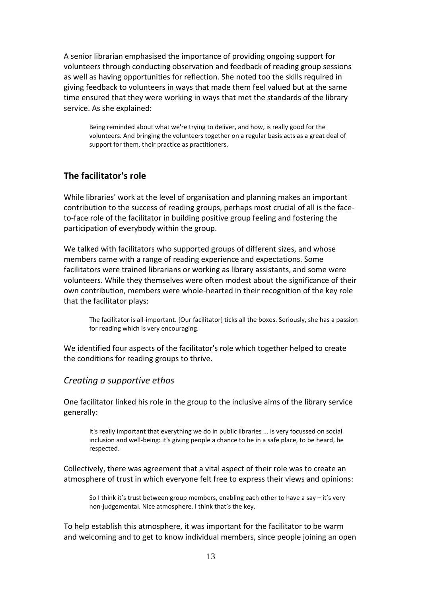A senior librarian emphasised the importance of providing ongoing support for volunteers through conducting observation and feedback of reading group sessions as well as having opportunities for reflection. She noted too the skills required in giving feedback to volunteers in ways that made them feel valued but at the same time ensured that they were working in ways that met the standards of the library service. As she explained:

Being reminded about what we're trying to deliver, and how, is really good for the volunteers. And bringing the volunteers together on a regular basis acts as a great deal of support for them, their practice as practitioners.

#### **The facilitator's role**

While libraries' work at the level of organisation and planning makes an important contribution to the success of reading groups, perhaps most crucial of all is the faceto-face role of the facilitator in building positive group feeling and fostering the participation of everybody within the group.

We talked with facilitators who supported groups of different sizes, and whose members came with a range of reading experience and expectations. Some facilitators were trained librarians or working as library assistants, and some were volunteers. While they themselves were often modest about the significance of their own contribution, members were whole-hearted in their recognition of the key role that the facilitator plays:

The facilitator is all-important. [Our facilitator] ticks all the boxes. Seriously, she has a passion for reading which is very encouraging.

We identified four aspects of the facilitator's role which together helped to create the conditions for reading groups to thrive.

#### *Creating a supportive ethos*

One facilitator linked his role in the group to the inclusive aims of the library service generally:

It's really important that everything we do in public libraries ... is very focussed on social inclusion and well-being: it's giving people a chance to be in a safe place, to be heard, be respected.

Collectively, there was agreement that a vital aspect of their role was to create an atmosphere of trust in which everyone felt free to express their views and opinions:

So I think it's trust between group members, enabling each other to have a say – it's very non-judgemental. Nice atmosphere. I think that's the key.

To help establish this atmosphere, it was important for the facilitator to be warm and welcoming and to get to know individual members, since people joining an open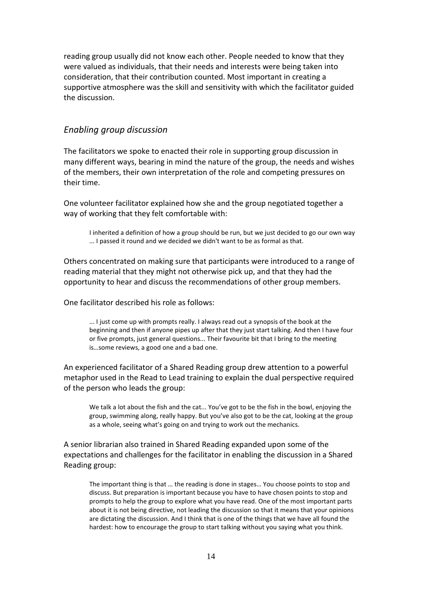reading group usually did not know each other. People needed to know that they were valued as individuals, that their needs and interests were being taken into consideration, that their contribution counted. Most important in creating a supportive atmosphere was the skill and sensitivity with which the facilitator guided the discussion.

#### *Enabling group discussion*

The facilitators we spoke to enacted their role in supporting group discussion in many different ways, bearing in mind the nature of the group, the needs and wishes of the members, their own interpretation of the role and competing pressures on their time.

One volunteer facilitator explained how she and the group negotiated together a way of working that they felt comfortable with:

I inherited a definition of how a group should be run, but we just decided to go our own way ... I passed it round and we decided we didn't want to be as formal as that.

Others concentrated on making sure that participants were introduced to a range of reading material that they might not otherwise pick up, and that they had the opportunity to hear and discuss the recommendations of other group members.

One facilitator described his role as follows:

... I just come up with prompts really. I always read out a synopsis of the book at the beginning and then if anyone pipes up after that they just start talking. And then I have four or five prompts, just general questions... Their favourite bit that I bring to the meeting is…some reviews, a good one and a bad one.

An experienced facilitator of a Shared Reading group drew attention to a powerful metaphor used in the Read to Lead training to explain the dual perspective required of the person who leads the group:

We talk a lot about the fish and the cat... You've got to be the fish in the bowl, enjoying the group, swimming along, really happy. But you've also got to be the cat, looking at the group as a whole, seeing what's going on and trying to work out the mechanics.

A senior librarian also trained in Shared Reading expanded upon some of the expectations and challenges for the facilitator in enabling the discussion in a Shared Reading group:

The important thing is that … the reading is done in stages… You choose points to stop and discuss. But preparation is important because you have to have chosen points to stop and prompts to help the group to explore what you have read. One of the most important parts about it is not being directive, not leading the discussion so that it means that your opinions are dictating the discussion. And I think that is one of the things that we have all found the hardest: how to encourage the group to start talking without you saying what you think.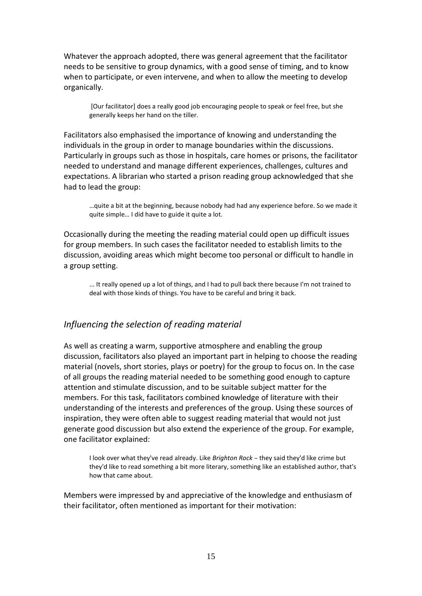Whatever the approach adopted, there was general agreement that the facilitator needs to be sensitive to group dynamics, with a good sense of timing, and to know when to participate, or even intervene, and when to allow the meeting to develop organically.

[Our facilitator] does a really good job encouraging people to speak or feel free, but she generally keeps her hand on the tiller.

Facilitators also emphasised the importance of knowing and understanding the individuals in the group in order to manage boundaries within the discussions. Particularly in groups such as those in hospitals, care homes or prisons, the facilitator needed to understand and manage different experiences, challenges, cultures and expectations. A librarian who started a prison reading group acknowledged that she had to lead the group:

…quite a bit at the beginning, because nobody had had any experience before. So we made it quite simple… I did have to guide it quite a lot.

Occasionally during the meeting the reading material could open up difficult issues for group members. In such cases the facilitator needed to establish limits to the discussion, avoiding areas which might become too personal or difficult to handle in a group setting.

... It really opened up a lot of things, and I had to pull back there because I'm not trained to deal with those kinds of things. You have to be careful and bring it back.

#### *Influencing the selection of reading material*

As well as creating a warm, supportive atmosphere and enabling the group discussion, facilitators also played an important part in helping to choose the reading material (novels, short stories, plays or poetry) for the group to focus on. In the case of all groups the reading material needed to be something good enough to capture attention and stimulate discussion, and to be suitable subject matter for the members. For this task, facilitators combined knowledge of literature with their understanding of the interests and preferences of the group. Using these sources of inspiration, they were often able to suggest reading material that would not just generate good discussion but also extend the experience of the group. For example, one facilitator explained:

I look over what they've read already. Like *Brighton Rock* – they said they'd like crime but they'd like to read something a bit more literary, something like an established author, that's how that came about.

Members were impressed by and appreciative of the knowledge and enthusiasm of their facilitator, often mentioned as important for their motivation: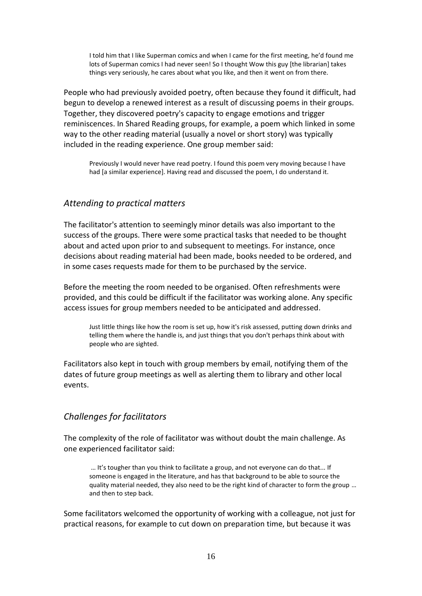I told him that I like Superman comics and when I came for the first meeting, he'd found me lots of Superman comics I had never seen! So I thought Wow this guy [the librarian] takes things very seriously, he cares about what you like, and then it went on from there.

People who had previously avoided poetry, often because they found it difficult, had begun to develop a renewed interest as a result of discussing poems in their groups. Together, they discovered poetry's capacity to engage emotions and trigger reminiscences. In Shared Reading groups, for example, a poem which linked in some way to the other reading material (usually a novel or short story) was typically included in the reading experience. One group member said:

Previously I would never have read poetry. I found this poem very moving because I have had [a similar experience]. Having read and discussed the poem, I do understand it.

# *Attending to practical matters*

The facilitator's attention to seemingly minor details was also important to the success of the groups. There were some practical tasks that needed to be thought about and acted upon prior to and subsequent to meetings. For instance, once decisions about reading material had been made, books needed to be ordered, and in some cases requests made for them to be purchased by the service.

Before the meeting the room needed to be organised. Often refreshments were provided, and this could be difficult if the facilitator was working alone. Any specific access issues for group members needed to be anticipated and addressed.

Just little things like how the room is set up, how it's risk assessed, putting down drinks and telling them where the handle is, and just things that you don't perhaps think about with people who are sighted.

Facilitators also kept in touch with group members by email, notifying them of the dates of future group meetings as well as alerting them to library and other local events.

# *Challenges for facilitators*

The complexity of the role of facilitator was without doubt the main challenge. As one experienced facilitator said:

… It's tougher than you think to facilitate a group, and not everyone can do that... If someone is engaged in the literature, and has that background to be able to source the quality material needed, they also need to be the right kind of character to form the group … and then to step back.

Some facilitators welcomed the opportunity of working with a colleague, not just for practical reasons, for example to cut down on preparation time, but because it was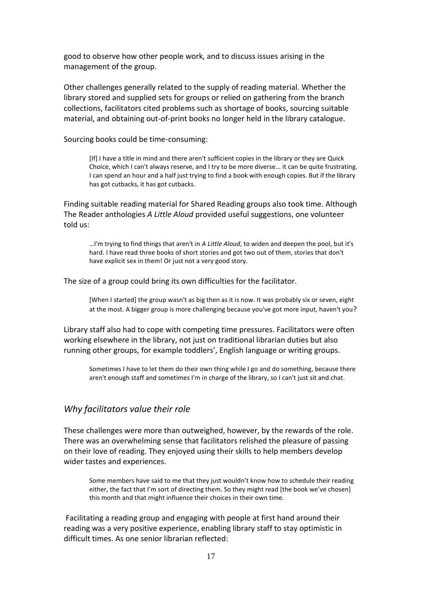good to observe how other people work, and to discuss issues arising in the management of the group.

Other challenges generally related to the supply of reading material. Whether the library stored and supplied sets for groups or relied on gathering from the branch collections, facilitators cited problems such as shortage of books, sourcing suitable material, and obtaining out-of-print books no longer held in the library catalogue.

Sourcing books could be time-consuming:

[If] I have a title in mind and there aren't sufficient copies in the library or they are Quick Choice, which I can't always reserve, and I try to be more diverse... it can be quite frustrating. I can spend an hour and a half just trying to find a book with enough copies. But if the library has got cutbacks, it has got cutbacks.

Finding suitable reading material for Shared Reading groups also took time. Although The Reader anthologies *A Little Aloud* provided useful suggestions, one volunteer told us:

…I'm trying to find things that aren't in *A Little Aloud*, to widen and deepen the pool, but it's hard. I have read three books of short stories and got two out of them, stories that don't have explicit sex in them! Or just not a very good story.

The size of a group could bring its own difficulties for the facilitator.

[When I started] the group wasn't as big then as it is now. It was probably six or seven, eight at the most. A bigger group is more challenging because you've got more input, haven't you?

Library staff also had to cope with competing time pressures. Facilitators were often working elsewhere in the library, not just on traditional librarian duties but also running other groups, for example toddlers', English language or writing groups.

Sometimes I have to let them do their own thing while I go and do something, because there aren't enough staff and sometimes I'm in charge of the library, so I can't just sit and chat.

#### *Why facilitators value their role*

These challenges were more than outweighed, however, by the rewards of the role. There was an overwhelming sense that facilitators relished the pleasure of passing on their love of reading. They enjoyed using their skills to help members develop wider tastes and experiences.

Some members have said to me that they just wouldn't know how to schedule their reading either, the fact that I'm sort of directing them. So they might read [the book we've chosen] this month and that might influence their choices in their own time.

Facilitating a reading group and engaging with people at first hand around their reading was a very positive experience, enabling library staff to stay optimistic in difficult times. As one senior librarian reflected: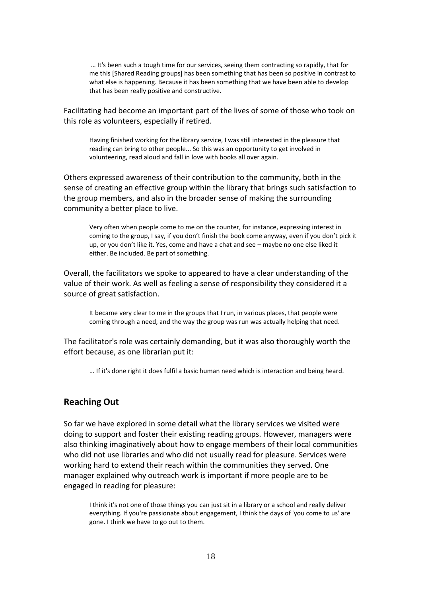… It's been such a tough time for our services, seeing them contracting so rapidly, that for me this [Shared Reading groups] has been something that has been so positive in contrast to what else is happening. Because it has been something that we have been able to develop that has been really positive and constructive.

Facilitating had become an important part of the lives of some of those who took on this role as volunteers, especially if retired.

Having finished working for the library service, I was still interested in the pleasure that reading can bring to other people... So this was an opportunity to get involved in volunteering, read aloud and fall in love with books all over again.

Others expressed awareness of their contribution to the community, both in the sense of creating an effective group within the library that brings such satisfaction to the group members, and also in the broader sense of making the surrounding community a better place to live.

Very often when people come to me on the counter, for instance, expressing interest in coming to the group, I say, if you don't finish the book come anyway, even if you don't pick it up, or you don't like it. Yes, come and have a chat and see – maybe no one else liked it either. Be included. Be part of something.

Overall, the facilitators we spoke to appeared to have a clear understanding of the value of their work. As well as feeling a sense of responsibility they considered it a source of great satisfaction.

It became very clear to me in the groups that I run, in various places, that people were coming through a need, and the way the group was run was actually helping that need.

The facilitator's role was certainly demanding, but it was also thoroughly worth the effort because, as one librarian put it:

... If it's done right it does fulfil a basic human need which is interaction and being heard.

#### **Reaching Out**

So far we have explored in some detail what the library services we visited were doing to support and foster their existing reading groups. However, managers were also thinking imaginatively about how to engage members of their local communities who did not use libraries and who did not usually read for pleasure. Services were working hard to extend their reach within the communities they served. One manager explained why outreach work is important if more people are to be engaged in reading for pleasure:

I think it's not one of those things you can just sit in a library or a school and really deliver everything. If you're passionate about engagement, I think the days of 'you come to us' are gone. I think we have to go out to them.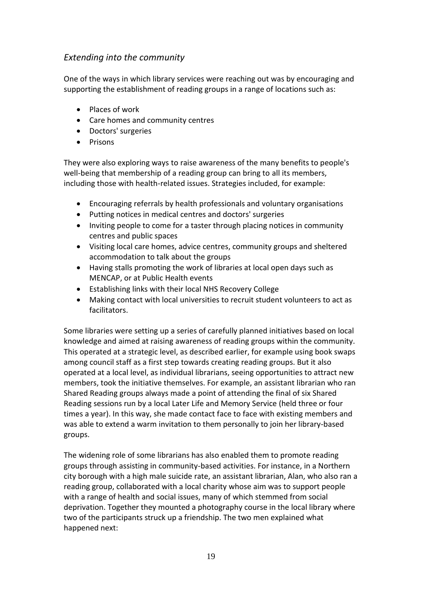# *Extending into the community*

One of the ways in which library services were reaching out was by encouraging and supporting the establishment of reading groups in a range of locations such as:

- Places of work
- Care homes and community centres
- Doctors' surgeries
- Prisons

They were also exploring ways to raise awareness of the many benefits to people's well-being that membership of a reading group can bring to all its members, including those with health-related issues. Strategies included, for example:

- Encouraging referrals by health professionals and voluntary organisations
- Putting notices in medical centres and doctors' surgeries
- Inviting people to come for a taster through placing notices in community centres and public spaces
- Visiting local care homes, advice centres, community groups and sheltered accommodation to talk about the groups
- Having stalls promoting the work of libraries at local open days such as MENCAP, or at Public Health events
- Establishing links with their local NHS Recovery College
- Making contact with local universities to recruit student volunteers to act as facilitators.

Some libraries were setting up a series of carefully planned initiatives based on local knowledge and aimed at raising awareness of reading groups within the community. This operated at a strategic level, as described earlier, for example using book swaps among council staff as a first step towards creating reading groups. But it also operated at a local level, as individual librarians, seeing opportunities to attract new members, took the initiative themselves. For example, an assistant librarian who ran Shared Reading groups always made a point of attending the final of six Shared Reading sessions run by a local Later Life and Memory Service (held three or four times a year). In this way, she made contact face to face with existing members and was able to extend a warm invitation to them personally to join her library-based groups.

The widening role of some librarians has also enabled them to promote reading groups through assisting in community-based activities. For instance, in a Northern city borough with a high male suicide rate, an assistant librarian, Alan, who also ran a reading group, collaborated with a local charity whose aim was to support people with a range of health and social issues, many of which stemmed from social deprivation. Together they mounted a photography course in the local library where two of the participants struck up a friendship. The two men explained what happened next: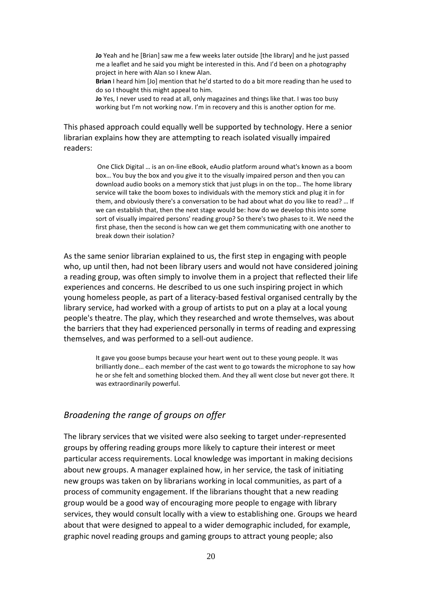**Jo** Yeah and he [Brian] saw me a few weeks later outside [the library] and he just passed me a leaflet and he said you might be interested in this. And I'd been on a photography project in here with Alan so I knew Alan.

**Brian** I heard him [Jo] mention that he'd started to do a bit more reading than he used to do so I thought this might appeal to him.

**Jo** Yes, I never used to read at all, only magazines and things like that. I was too busy working but I'm not working now. I'm in recovery and this is another option for me.

This phased approach could equally well be supported by technology. Here a senior librarian explains how they are attempting to reach isolated visually impaired readers:

> One Click Digital … is an on-line eBook, eAudio platform around what's known as a boom box… You buy the box and you give it to the visually impaired person and then you can download audio books on a memory stick that just plugs in on the top… The home library service will take the boom boxes to individuals with the memory stick and plug it in for them, and obviously there's a conversation to be had about what do you like to read? … If we can establish that, then the next stage would be: how do we develop this into some sort of visually impaired persons' reading group? So there's two phases to it. We need the first phase, then the second is how can we get them communicating with one another to break down their isolation?

As the same senior librarian explained to us, the first step in engaging with people who, up until then, had not been library users and would not have considered joining a reading group, was often simply to involve them in a project that reflected their life experiences and concerns. He described to us one such inspiring project in which young homeless people, as part of a literacy-based festival organised centrally by the library service, had worked with a group of artists to put on a play at a local young people's theatre. The play, which they researched and wrote themselves, was about the barriers that they had experienced personally in terms of reading and expressing themselves, and was performed to a sell-out audience.

> It gave you goose bumps because your heart went out to these young people. It was brilliantly done… each member of the cast went to go towards the microphone to say how he or she felt and something blocked them. And they all went close but never got there. It was extraordinarily powerful.

#### *Broadening the range of groups on offer*

The library services that we visited were also seeking to target under-represented groups by offering reading groups more likely to capture their interest or meet particular access requirements. Local knowledge was important in making decisions about new groups. A manager explained how, in her service, the task of initiating new groups was taken on by librarians working in local communities, as part of a process of community engagement. If the librarians thought that a new reading group would be a good way of encouraging more people to engage with library services, they would consult locally with a view to establishing one. Groups we heard about that were designed to appeal to a wider demographic included, for example, graphic novel reading groups and gaming groups to attract young people; also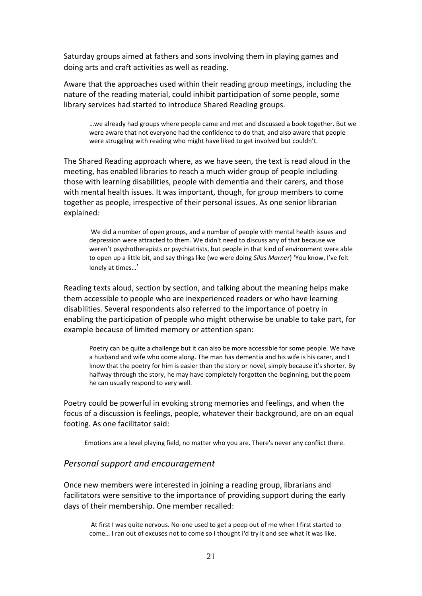Saturday groups aimed at fathers and sons involving them in playing games and doing arts and craft activities as well as reading.

Aware that the approaches used within their reading group meetings, including the nature of the reading material, could inhibit participation of some people, some library services had started to introduce Shared Reading groups.

…we already had groups where people came and met and discussed a book together. But we were aware that not everyone had the confidence to do that, and also aware that people were struggling with reading who might have liked to get involved but couldn't.

The Shared Reading approach where, as we have seen, the text is read aloud in the meeting, has enabled libraries to reach a much wider group of people including those with learning disabilities, people with dementia and their carers, and those with mental health issues. It was important, though, for group members to come together as people, irrespective of their personal issues. As one senior librarian explained*:* 

We did a number of open groups, and a number of people with mental health issues and depression were attracted to them. We didn't need to discuss any of that because we weren't psychotherapists or psychiatrists, but people in that kind of environment were able to open up a little bit, and say things like (we were doing *Silas Marner*) 'You know, I've felt lonely at times…'

Reading texts aloud, section by section, and talking about the meaning helps make them accessible to people who are inexperienced readers or who have learning disabilities. Several respondents also referred to the importance of poetry in enabling the participation of people who might otherwise be unable to take part, for example because of limited memory or attention span:

Poetry can be quite a challenge but it can also be more accessible for some people. We have a husband and wife who come along. The man has dementia and his wife is his carer, and I know that the poetry for him is easier than the story or novel, simply because it's shorter. By halfway through the story, he may have completely forgotten the beginning, but the poem he can usually respond to very well.

Poetry could be powerful in evoking strong memories and feelings, and when the focus of a discussion is feelings, people, whatever their background, are on an equal footing. As one facilitator said:

Emotions are a level playing field, no matter who you are. There's never any conflict there.

#### *Personal support and encouragement*

Once new members were interested in joining a reading group, librarians and facilitators were sensitive to the importance of providing support during the early days of their membership. One member recalled:

At first I was quite nervous. No-one used to get a peep out of me when I first started to come… I ran out of excuses not to come so I thought I'd try it and see what it was like.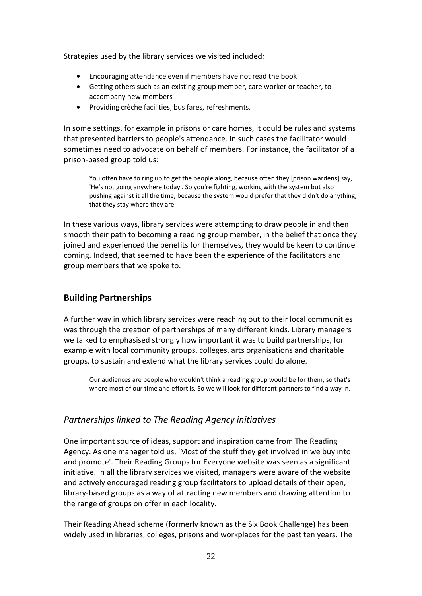Strategies used by the library services we visited included*:* 

- Encouraging attendance even if members have not read the book
- Getting others such as an existing group member, care worker or teacher, to accompany new members
- Providing crèche facilities, bus fares, refreshments.

In some settings, for example in prisons or care homes, it could be rules and systems that presented barriers to people's attendance. In such cases the facilitator would sometimes need to advocate on behalf of members. For instance, the facilitator of a prison-based group told us:

You often have to ring up to get the people along, because often they [prison wardens] say, 'He's not going anywhere today'. So you're fighting, working with the system but also pushing against it all the time, because the system would prefer that they didn't do anything, that they stay where they are.

In these various ways, library services were attempting to draw people in and then smooth their path to becoming a reading group member, in the belief that once they joined and experienced the benefits for themselves, they would be keen to continue coming. Indeed, that seemed to have been the experience of the facilitators and group members that we spoke to.

#### **Building Partnerships**

A further way in which library services were reaching out to their local communities was through the creation of partnerships of many different kinds. Library managers we talked to emphasised strongly how important it was to build partnerships, for example with local community groups, colleges, arts organisations and charitable groups, to sustain and extend what the library services could do alone.

Our audiences are people who wouldn't think a reading group would be for them, so that's where most of our time and effort is. So we will look for different partners to find a way in.

#### *Partnerships linked to The Reading Agency initiatives*

One important source of ideas, support and inspiration came from The Reading Agency. As one manager told us, 'Most of the stuff they get involved in we buy into and promote'. Their Reading Groups for Everyone website was seen as a significant initiative. In all the library services we visited, managers were aware of the website and actively encouraged reading group facilitators to upload details of their open, library-based groups as a way of attracting new members and drawing attention to the range of groups on offer in each locality.

Their Reading Ahead scheme (formerly known as the Six Book Challenge) has been widely used in libraries, colleges, prisons and workplaces for the past ten years. The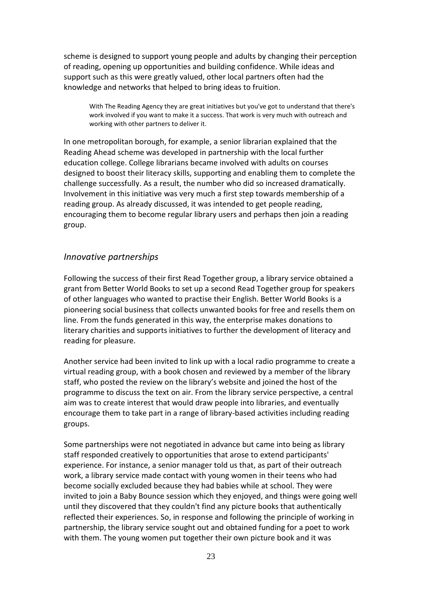scheme is designed to support young people and adults by changing their perception of reading, opening up opportunities and building confidence. While ideas and support such as this were greatly valued, other local partners often had the knowledge and networks that helped to bring ideas to fruition.

With The Reading Agency they are great initiatives but you've got to understand that there's work involved if you want to make it a success. That work is very much with outreach and working with other partners to deliver it.

In one metropolitan borough, for example, a senior librarian explained that the Reading Ahead scheme was developed in partnership with the local further education college. College librarians became involved with adults on courses designed to boost their literacy skills, supporting and enabling them to complete the challenge successfully. As a result, the number who did so increased dramatically. Involvement in this initiative was very much a first step towards membership of a reading group. As already discussed, it was intended to get people reading, encouraging them to become regular library users and perhaps then join a reading group.

#### *Innovative partnerships*

Following the success of their first Read Together group, a library service obtained a grant from Better World Books to set up a second Read Together group for speakers of other languages who wanted to practise their English. Better World Books is a pioneering social business that collects unwanted books for free and resells them on line. From the funds generated in this way, the enterprise makes donations to literary charities and supports initiatives to further the development of literacy and reading for pleasure.

Another service had been invited to link up with a local radio programme to create a virtual reading group, with a book chosen and reviewed by a member of the library staff, who posted the review on the library's website and joined the host of the programme to discuss the text on air. From the library service perspective, a central aim was to create interest that would draw people into libraries, and eventually encourage them to take part in a range of library-based activities including reading groups.

Some partnerships were not negotiated in advance but came into being as library staff responded creatively to opportunities that arose to extend participants' experience. For instance, a senior manager told us that, as part of their outreach work, a library service made contact with young women in their teens who had become socially excluded because they had babies while at school. They were invited to join a Baby Bounce session which they enjoyed, and things were going well until they discovered that they couldn't find any picture books that authentically reflected their experiences. So, in response and following the principle of working in partnership, the library service sought out and obtained funding for a poet to work with them. The young women put together their own picture book and it was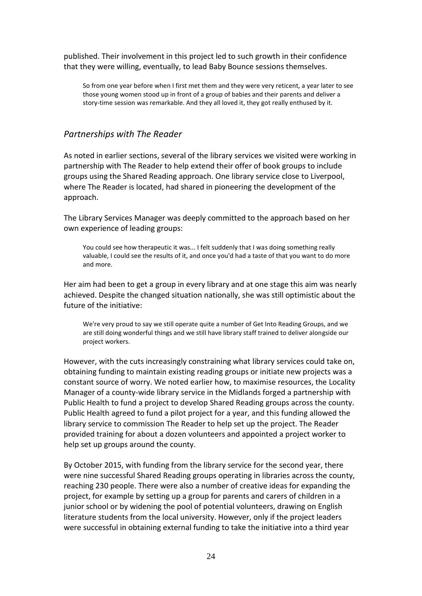published. Their involvement in this project led to such growth in their confidence that they were willing, eventually, to lead Baby Bounce sessions themselves.

So from one year before when I first met them and they were very reticent, a year later to see those young women stood up in front of a group of babies and their parents and deliver a story-time session was remarkable. And they all loved it, they got really enthused by it.

#### *Partnerships with The Reader*

As noted in earlier sections, several of the library services we visited were working in partnership with The Reader to help extend their offer of book groups to include groups using the Shared Reading approach. One library service close to Liverpool, where The Reader is located, had shared in pioneering the development of the approach.

The Library Services Manager was deeply committed to the approach based on her own experience of leading groups:

You could see how therapeutic it was... I felt suddenly that I was doing something really valuable, I could see the results of it, and once you'd had a taste of that you want to do more and more.

Her aim had been to get a group in every library and at one stage this aim was nearly achieved. Despite the changed situation nationally, she was still optimistic about the future of the initiative:

We're very proud to say we still operate quite a number of Get Into Reading Groups, and we are still doing wonderful things and we still have library staff trained to deliver alongside our project workers.

However, with the cuts increasingly constraining what library services could take on, obtaining funding to maintain existing reading groups or initiate new projects was a constant source of worry. We noted earlier how, to maximise resources, the Locality Manager of a county-wide library service in the Midlands forged a partnership with Public Health to fund a project to develop Shared Reading groups across the county. Public Health agreed to fund a pilot project for a year, and this funding allowed the library service to commission The Reader to help set up the project. The Reader provided training for about a dozen volunteers and appointed a project worker to help set up groups around the county.

By October 2015, with funding from the library service for the second year, there were nine successful Shared Reading groups operating in libraries across the county, reaching 230 people. There were also a number of creative ideas for expanding the project, for example by setting up a group for parents and carers of children in a junior school or by widening the pool of potential volunteers, drawing on English literature students from the local university. However, only if the project leaders were successful in obtaining external funding to take the initiative into a third year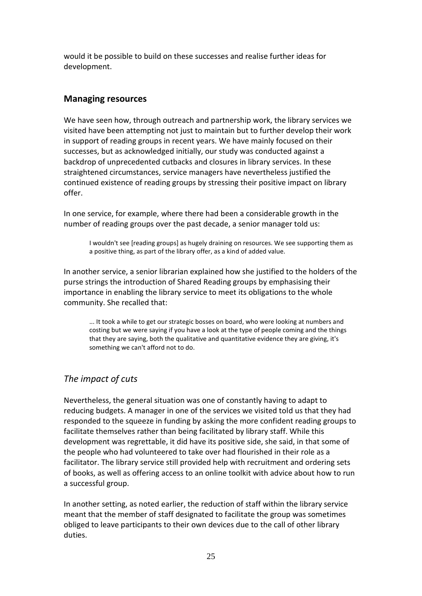would it be possible to build on these successes and realise further ideas for development.

### **Managing resources**

We have seen how, through outreach and partnership work, the library services we visited have been attempting not just to maintain but to further develop their work in support of reading groups in recent years. We have mainly focused on their successes, but as acknowledged initially, our study was conducted against a backdrop of unprecedented cutbacks and closures in library services. In these straightened circumstances, service managers have nevertheless justified the continued existence of reading groups by stressing their positive impact on library offer.

In one service, for example, where there had been a considerable growth in the number of reading groups over the past decade, a senior manager told us:

I wouldn't see [reading groups] as hugely draining on resources. We see supporting them as a positive thing, as part of the library offer, as a kind of added value.

In another service, a senior librarian explained how she justified to the holders of the purse strings the introduction of Shared Reading groups by emphasising their importance in enabling the library service to meet its obligations to the whole community. She recalled that:

... It took a while to get our strategic bosses on board, who were looking at numbers and costing but we were saying if you have a look at the type of people coming and the things that they are saying, both the qualitative and quantitative evidence they are giving, it's something we can't afford not to do.

# *The impact of cuts*

Nevertheless, the general situation was one of constantly having to adapt to reducing budgets. A manager in one of the services we visited told us that they had responded to the squeeze in funding by asking the more confident reading groups to facilitate themselves rather than being facilitated by library staff. While this development was regrettable, it did have its positive side, she said, in that some of the people who had volunteered to take over had flourished in their role as a facilitator. The library service still provided help with recruitment and ordering sets of books, as well as offering access to an online toolkit with advice about how to run a successful group.

In another setting, as noted earlier, the reduction of staff within the library service meant that the member of staff designated to facilitate the group was sometimes obliged to leave participants to their own devices due to the call of other library duties.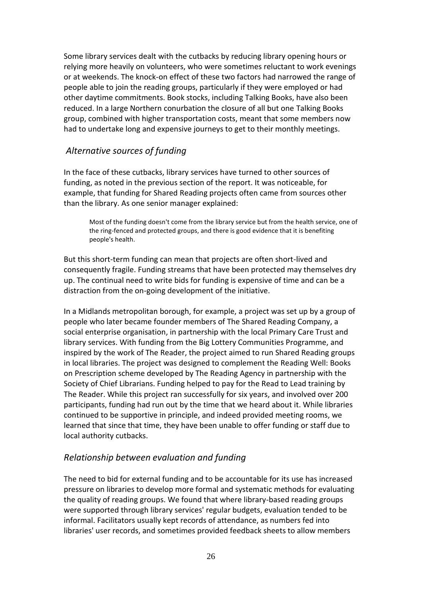Some library services dealt with the cutbacks by reducing library opening hours or relying more heavily on volunteers, who were sometimes reluctant to work evenings or at weekends. The knock-on effect of these two factors had narrowed the range of people able to join the reading groups, particularly if they were employed or had other daytime commitments. Book stocks, including Talking Books, have also been reduced. In a large Northern conurbation the closure of all but one Talking Books group, combined with higher transportation costs, meant that some members now had to undertake long and expensive journeys to get to their monthly meetings.

# *Alternative sources of funding*

In the face of these cutbacks, library services have turned to other sources of funding, as noted in the previous section of the report. It was noticeable, for example, that funding for Shared Reading projects often came from sources other than the library. As one senior manager explained:

Most of the funding doesn't come from the library service but from the health service, one of the ring-fenced and protected groups, and there is good evidence that it is benefiting people's health.

But this short-term funding can mean that projects are often short-lived and consequently fragile. Funding streams that have been protected may themselves dry up. The continual need to write bids for funding is expensive of time and can be a distraction from the on-going development of the initiative.

In a Midlands metropolitan borough, for example, a project was set up by a group of people who later became founder members of The Shared Reading Company, a social enterprise organisation, in partnership with the local Primary Care Trust and library services. With funding from the Big Lottery Communities Programme, and inspired by the work of The Reader, the project aimed to run Shared Reading groups in local libraries. The project was designed to complement the Reading Well: Books on Prescription scheme developed by The Reading Agency in partnership with the Society of Chief Librarians. Funding helped to pay for the Read to Lead training by The Reader. While this project ran successfully for six years, and involved over 200 participants, funding had run out by the time that we heard about it. While libraries continued to be supportive in principle, and indeed provided meeting rooms, we learned that since that time, they have been unable to offer funding or staff due to local authority cutbacks.

# *Relationship between evaluation and funding*

The need to bid for external funding and to be accountable for its use has increased pressure on libraries to develop more formal and systematic methods for evaluating the quality of reading groups. We found that where library-based reading groups were supported through library services' regular budgets, evaluation tended to be informal. Facilitators usually kept records of attendance, as numbers fed into libraries' user records, and sometimes provided feedback sheets to allow members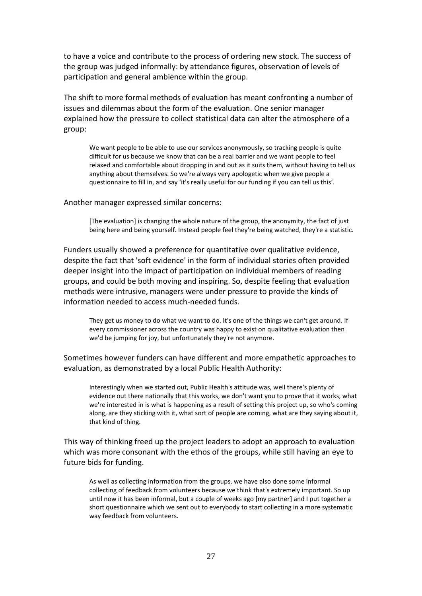to have a voice and contribute to the process of ordering new stock. The success of the group was judged informally: by attendance figures, observation of levels of participation and general ambience within the group.

The shift to more formal methods of evaluation has meant confronting a number of issues and dilemmas about the form of the evaluation. One senior manager explained how the pressure to collect statistical data can alter the atmosphere of a group:

We want people to be able to use our services anonymously, so tracking people is quite difficult for us because we know that can be a real barrier and we want people to feel relaxed and comfortable about dropping in and out as it suits them, without having to tell us anything about themselves. So we're always very apologetic when we give people a questionnaire to fill in, and say 'it's really useful for our funding if you can tell us this'.

#### Another manager expressed similar concerns:

[The evaluation] is changing the whole nature of the group, the anonymity, the fact of just being here and being yourself. Instead people feel they're being watched, they're a statistic.

Funders usually showed a preference for quantitative over qualitative evidence, despite the fact that 'soft evidence' in the form of individual stories often provided deeper insight into the impact of participation on individual members of reading groups, and could be both moving and inspiring. So, despite feeling that evaluation methods were intrusive, managers were under pressure to provide the kinds of information needed to access much-needed funds.

They get us money to do what we want to do. It's one of the things we can't get around. If every commissioner across the country was happy to exist on qualitative evaluation then we'd be jumping for joy, but unfortunately they're not anymore.

Sometimes however funders can have different and more empathetic approaches to evaluation, as demonstrated by a local Public Health Authority:

Interestingly when we started out, Public Health's attitude was, well there's plenty of evidence out there nationally that this works, we don't want you to prove that it works, what we're interested in is what is happening as a result of setting this project up, so who's coming along, are they sticking with it, what sort of people are coming, what are they saying about it, that kind of thing.

This way of thinking freed up the project leaders to adopt an approach to evaluation which was more consonant with the ethos of the groups, while still having an eye to future bids for funding.

As well as collecting information from the groups, we have also done some informal collecting of feedback from volunteers because we think that's extremely important. So up until now it has been informal, but a couple of weeks ago [my partner] and I put together a short questionnaire which we sent out to everybody to start collecting in a more systematic way feedback from volunteers.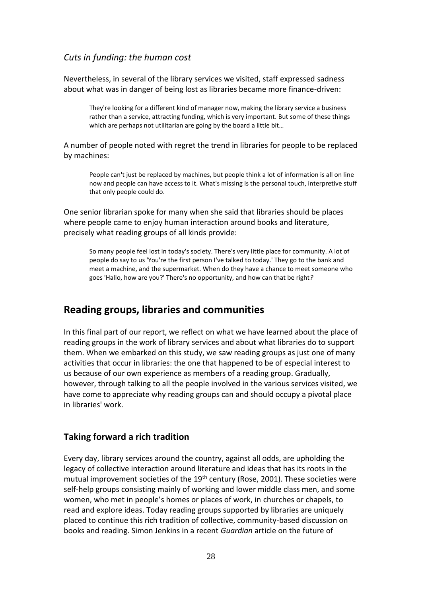# *Cuts in funding: the human cost*

Nevertheless, in several of the library services we visited, staff expressed sadness about what was in danger of being lost as libraries became more finance-driven:

They're looking for a different kind of manager now, making the library service a business rather than a service, attracting funding, which is very important. But some of these things which are perhaps not utilitarian are going by the board a little bit...

A number of people noted with regret the trend in libraries for people to be replaced by machines:

People can't just be replaced by machines, but people think a lot of information is all on line now and people can have access to it. What's missing is the personal touch, interpretive stuff that only people could do.

One senior librarian spoke for many when she said that libraries should be places where people came to enjoy human interaction around books and literature, precisely what reading groups of all kinds provide:

So many people feel lost in today's society. There's very little place for community. A lot of people do say to us 'You're the first person I've talked to today.' They go to the bank and meet a machine, and the supermarket. When do they have a chance to meet someone who goes 'Hallo, how are you?' There's no opportunity, and how can that be right*?*

# **Reading groups, libraries and communities**

In this final part of our report, we reflect on what we have learned about the place of reading groups in the work of library services and about what libraries do to support them. When we embarked on this study, we saw reading groups as just one of many activities that occur in libraries: the one that happened to be of especial interest to us because of our own experience as members of a reading group. Gradually, however, through talking to all the people involved in the various services visited, we have come to appreciate why reading groups can and should occupy a pivotal place in libraries' work.

# **Taking forward a rich tradition**

Every day, library services around the country, against all odds, are upholding the legacy of collective interaction around literature and ideas that has its roots in the mutual improvement societies of the 19<sup>th</sup> century (Rose, 2001). These societies were self-help groups consisting mainly of working and lower middle class men, and some women, who met in people's homes or places of work, in churches or chapels, to read and explore ideas. Today reading groups supported by libraries are uniquely placed to continue this rich tradition of collective, community-based discussion on books and reading. Simon Jenkins in a recent *Guardian* article on the future of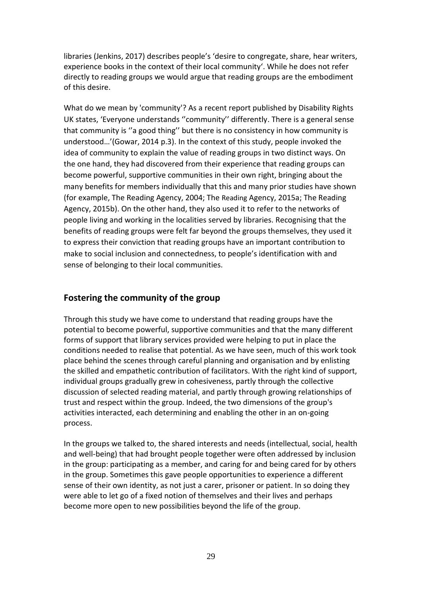libraries (Jenkins, 2017) describes people's 'desire to congregate, share, hear writers, experience books in the context of their local community'. While he does not refer directly to reading groups we would argue that reading groups are the embodiment of this desire.

What do we mean by 'community'? As a recent report published by Disability Rights UK states, 'Everyone understands ''community'' differently. There is a general sense that community is ''a good thing'' but there is no consistency in how community is understood…'(Gowar, 2014 p.3). In the context of this study, people invoked the idea of community to explain the value of reading groups in two distinct ways. On the one hand, they had discovered from their experience that reading groups can become powerful, supportive communities in their own right, bringing about the many benefits for members individually that this and many prior studies have shown (for example, The Reading Agency, 2004; The Reading Agency, 2015a; The Reading Agency, 2015b). On the other hand, they also used it to refer to the networks of people living and working in the localities served by libraries. Recognising that the benefits of reading groups were felt far beyond the groups themselves, they used it to express their conviction that reading groups have an important contribution to make to social inclusion and connectedness, to people's identification with and sense of belonging to their local communities.

# **Fostering the community of the group**

Through this study we have come to understand that reading groups have the potential to become powerful, supportive communities and that the many different forms of support that library services provided were helping to put in place the conditions needed to realise that potential. As we have seen, much of this work took place behind the scenes through careful planning and organisation and by enlisting the skilled and empathetic contribution of facilitators. With the right kind of support, individual groups gradually grew in cohesiveness, partly through the collective discussion of selected reading material, and partly through growing relationships of trust and respect within the group. Indeed, the two dimensions of the group's activities interacted, each determining and enabling the other in an on-going process.

In the groups we talked to, the shared interests and needs (intellectual, social, health and well-being) that had brought people together were often addressed by inclusion in the group: participating as a member, and caring for and being cared for by others in the group. Sometimes this gave people opportunities to experience a different sense of their own identity, as not just a carer, prisoner or patient. In so doing they were able to let go of a fixed notion of themselves and their lives and perhaps become more open to new possibilities beyond the life of the group.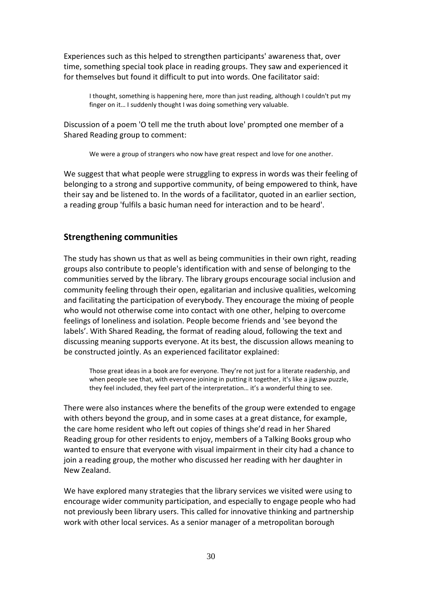Experiences such as this helped to strengthen participants' awareness that, over time, something special took place in reading groups. They saw and experienced it for themselves but found it difficult to put into words. One facilitator said:

I thought, something is happening here, more than just reading, although I couldn't put my finger on it… I suddenly thought I was doing something very valuable.

Discussion of a poem 'O tell me the truth about love' prompted one member of a Shared Reading group to comment:

We were a group of strangers who now have great respect and love for one another.

We suggest that what people were struggling to express in words was their feeling of belonging to a strong and supportive community, of being empowered to think, have their say and be listened to. In the words of a facilitator, quoted in an earlier section, a reading group 'fulfils a basic human need for interaction and to be heard'.

#### **Strengthening communities**

The study has shown us that as well as being communities in their own right, reading groups also contribute to people's identification with and sense of belonging to the communities served by the library. The library groups encourage social inclusion and community feeling through their open, egalitarian and inclusive qualities, welcoming and facilitating the participation of everybody. They encourage the mixing of people who would not otherwise come into contact with one other, helping to overcome feelings of loneliness and isolation. People become friends and 'see beyond the labels'. With Shared Reading, the format of reading aloud, following the text and discussing meaning supports everyone. At its best, the discussion allows meaning to be constructed jointly. As an experienced facilitator explained:

Those great ideas in a book are for everyone. They're not just for a literate readership, and when people see that, with everyone joining in putting it together, it's like a jigsaw puzzle, they feel included, they feel part of the interpretation… it's a wonderful thing to see.

There were also instances where the benefits of the group were extended to engage with others beyond the group, and in some cases at a great distance, for example, the care home resident who left out copies of things she'd read in her Shared Reading group for other residents to enjoy, members of a Talking Books group who wanted to ensure that everyone with visual impairment in their city had a chance to join a reading group, the mother who discussed her reading with her daughter in New Zealand.

We have explored many strategies that the library services we visited were using to encourage wider community participation, and especially to engage people who had not previously been library users. This called for innovative thinking and partnership work with other local services. As a senior manager of a metropolitan borough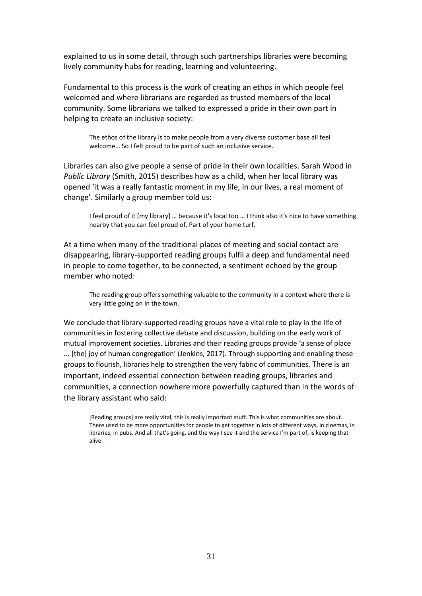explained to us in some detail, through such partnerships libraries were becoming lively community hubs for reading, learning and volunteering.

Fundamental to this process is the work of creating an ethos in which people feel welcomed and where librarians are regarded as trusted members of the local community. Some librarians we talked to expressed a pride in their own part in helping to create an inclusive society:

The ethos of the library is to make people from a very diverse customer base all feel welcome… So I felt proud to be part of such an inclusive service.

Libraries can also give people a sense of pride in their own localities. Sarah Wood in *Public Library* (Smith, 2015) describes how as a child, when her local library was opened 'it was a really fantastic moment in my life, in our lives, a real moment of change'. Similarly a group member told us:

I feel proud of it [my library] … because it's local too … I think also it's nice to have something nearby that you can feel proud of. Part of your home turf.

At a time when many of the traditional places of meeting and social contact are disappearing, library-supported reading groups fulfil a deep and fundamental need in people to come together, to be connected, a sentiment echoed by the group member who noted:

The reading group offers something valuable to the community in a context where there is very little going on in the town.

We conclude that library-supported reading groups have a vital role to play in the life of communities in fostering collective debate and discussion, building on the early work of mutual improvement societies. Libraries and their reading groups provide 'a sense of place ... [the] joy of human congregation' (Jenkins, 2017). Through supporting and enabling these groups to flourish, libraries help to strengthen the very fabric of communities. There is an important, indeed essential connection between reading groups, libraries and communities, a connection nowhere more powerfully captured than in the words of the library assistant who said:

[Reading groups] are really vital, this is really important stuff. This is what communities are about. There used to be more opportunities for people to get together in lots of different ways, in cinemas, in libraries, in pubs. And all that's going, and the way I see it and the service I'm part of, is keeping that alive.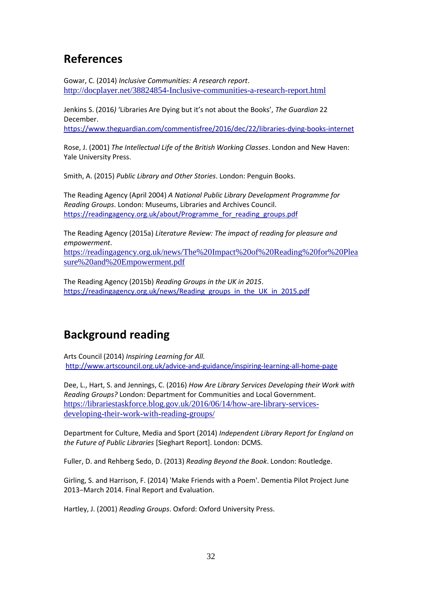# **References**

Gowar, C. (2014) *Inclusive Communities: A research report*. <http://docplayer.net/38824854-Inclusive-communities-a-research-report.html>

Jenkins S. (2016*)* 'Libraries Are Dying but it's not about the Books', *The Guardian* 22 December.

<https://www.theguardian.com/commentisfree/2016/dec/22/libraries-dying-books-internet>

Rose, J. (2001) *The Intellectual Life of the British Working Classes*. London and New Haven: Yale University Press.

Smith, A. (2015) *Public Library and Other Stories*. London: Penguin Books.

The Reading Agency (April 2004) *A National Public Library Development Programme for Reading Groups*. London: Museums, Libraries and Archives Council. [https://readingagency.org.uk/about/Programme\\_for\\_reading\\_groups.pdf](https://readingagency.org.uk/about/Programme_for_reading_groups.pdf)

The Reading Agency (2015a) *Literature Review: The impact of reading for pleasure and empowerment*.

[https://readingagency.org.uk/news/The%20Impact%20of%20Reading%20for%20Plea](https://readingagency.org.uk/news/The%20Impact%20of%20Reading%20for%20Pleasure%20and%20Empowerment.pdf) [sure%20and%20Empowerment.pdf](https://readingagency.org.uk/news/The%20Impact%20of%20Reading%20for%20Pleasure%20and%20Empowerment.pdf)

The Reading Agency (2015b) *Reading Groups in the UK in 2015*. [https://readingagency.org.uk/news/Reading\\_groups\\_in\\_the\\_UK\\_in\\_2015.pdf](https://readingagency.org.uk/news/Reading_groups_in_the_UK_in_2015.pdf)

# **Background reading**

Arts Council (2014) *Inspiring Learning for All.* <http://www.artscouncil.org.uk/advice-and-guidance/inspiring-learning-all-home-page>

Dee, L., Hart, S. and Jennings, C. (2016) *How Are Library Services Developing their Work with Reading Groups?* London: Department for Communities and Local Government. [https://librariestaskforce.blog.gov.uk/2016/06/14/how-are-library-services](https://librariestaskforce.blog.gov.uk/2016/06/14/how-are-library-services-developing-their-work-with-reading-groups/)[developing-their-work-with-reading-groups/](https://librariestaskforce.blog.gov.uk/2016/06/14/how-are-library-services-developing-their-work-with-reading-groups/)

Department for Culture, Media and Sport (2014) *Independent Library Report for England on the Future of Public Libraries* [Sieghart Report]. London: DCMS.

Fuller, D. and Rehberg Sedo, D. (2013) *Reading Beyond the Book*. London: Routledge.

Girling, S. and Harrison, F. (2014) 'Make Friends with a Poem'. Dementia Pilot Project June 2013–March 2014. Final Report and Evaluation.

Hartley, J. (2001) *Reading Groups*. Oxford: Oxford University Press.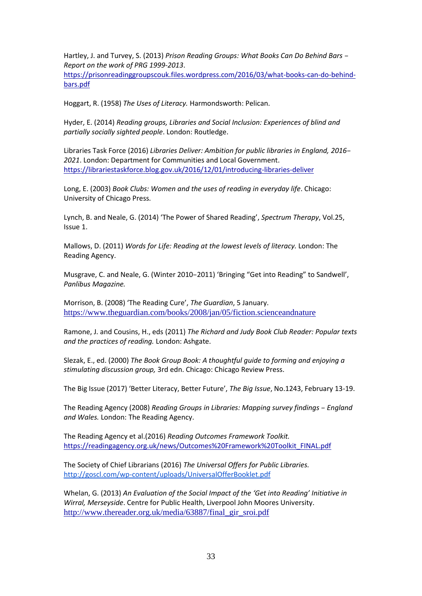Hartley, J. and Turvey, S. (2013) *Prison Reading Groups: What Books Can Do Behind Bars – Report on the work of PRG 1999-2013*.

[https://prisonreadinggroupscouk.files.wordpress.com/2016/03/what-books-can-do-behind](https://prisonreadinggroupscouk.files.wordpress.com/2016/03/what-books-can-do-behind-bars.pdf)[bars.pdf](https://prisonreadinggroupscouk.files.wordpress.com/2016/03/what-books-can-do-behind-bars.pdf)

Hoggart, R. (1958) *The Uses of Literacy.* Harmondsworth: Pelican.

Hyder, E. (2014) *Reading groups, Libraries and Social Inclusion: Experiences of blind and partially socially sighted people*. London: Routledge.

Libraries Task Force (2016) *Libraries Deliver: Ambition for public libraries in England, 2016– 2021*. London: Department for Communities and Local Government. <https://librariestaskforce.blog.gov.uk/2016/12/01/introducing-libraries-deliver>

Long, E. (2003) *Book Clubs: Women and the uses of reading in everyday life*. Chicago: University of Chicago Press.

Lynch, B. and Neale, G. (2014) 'The Power of Shared Reading', *Spectrum Therapy*, Vol.25, Issue 1.

Mallows, D. (2011) *Words for Life: Reading at the lowest levels of literacy.* London: The Reading Agency.

Musgrave, C. and Neale, G. (Winter 2010–2011) 'Bringing "Get into Reading" to Sandwell', *Panlibus Magazine.* 

Morrison, B. (2008) 'The Reading Cure', *The Guardian*, 5 January. <https://www.theguardian.com/books/2008/jan/05/fiction.scienceandnature>

Ramone, J. and Cousins, H., eds (2011) *The Richard and Judy Book Club Reader: Popular texts and the practices of reading.* London: Ashgate.

Slezak, E., ed. (2000) *The Book Group Book: A thoughtful guide to forming and enjoying a stimulating discussion group,* 3rd edn. Chicago: Chicago Review Press.

The Big Issue (2017) 'Better Literacy, Better Future', *The Big Issue*, No.1243, February 13-19.

The Reading Agency (2008) *Reading Groups in Libraries: Mapping survey findings – England and Wales.* London: The Reading Agency.

The Reading Agency et al.(2016) *Reading Outcomes Framework Toolkit.*  [https://readingagency.org.uk/news/Outcomes%20Framework%20Toolkit\\_FINAL.pdf](https://readingagency.org.uk/news/Outcomes%20Framework%20Toolkit_FINAL.pdf)

The Society of Chief Librarians (2016) *The Universal Offers for Public Libraries.* <http://goscl.com/wp-content/uploads/UniversalOfferBooklet.pdf>

Whelan, G. (2013) *An Evaluation of the Social Impact of the 'Get into Reading' Initiative in Wirral, Merseyside*. Centre for Public Health, Liverpool John Moores University. [http://www.thereader.org.uk/media/63887/final\\_gir\\_sroi.pdf](http://www.thereader.org.uk/media/63887/final_gir_sroi.pdf)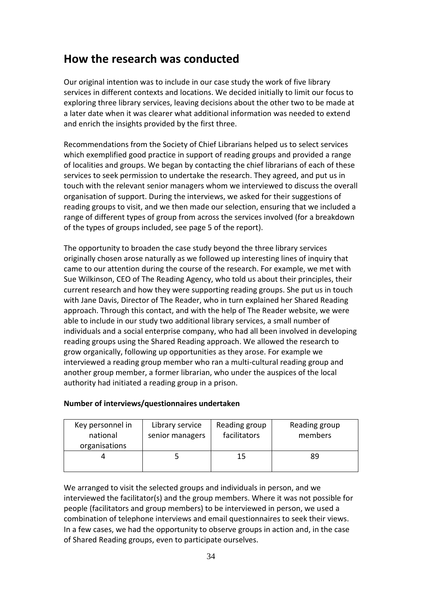# **How the research was conducted**

Our original intention was to include in our case study the work of five library services in different contexts and locations. We decided initially to limit our focus to exploring three library services, leaving decisions about the other two to be made at a later date when it was clearer what additional information was needed to extend and enrich the insights provided by the first three.

Recommendations from the Society of Chief Librarians helped us to select services which exemplified good practice in support of reading groups and provided a range of localities and groups. We began by contacting the chief librarians of each of these services to seek permission to undertake the research. They agreed, and put us in touch with the relevant senior managers whom we interviewed to discuss the overall organisation of support. During the interviews, we asked for their suggestions of reading groups to visit, and we then made our selection, ensuring that we included a range of different types of group from across the services involved (for a breakdown of the types of groups included, see page 5 of the report).

The opportunity to broaden the case study beyond the three library services originally chosen arose naturally as we followed up interesting lines of inquiry that came to our attention during the course of the research. For example, we met with Sue Wilkinson, CEO of The Reading Agency, who told us about their principles, their current research and how they were supporting reading groups. She put us in touch with Jane Davis, Director of The Reader, who in turn explained her Shared Reading approach. Through this contact, and with the help of The Reader website, we were able to include in our study two additional library services, a small number of individuals and a social enterprise company, who had all been involved in developing reading groups using the Shared Reading approach. We allowed the research to grow organically, following up opportunities as they arose. For example we interviewed a reading group member who ran a multi-cultural reading group and another group member, a former librarian, who under the auspices of the local authority had initiated a reading group in a prison.

| Key personnel in<br>national<br>organisations | Library service<br>senior managers | Reading group<br>facilitators | Reading group<br>members |
|-----------------------------------------------|------------------------------------|-------------------------------|--------------------------|
|                                               |                                    | 15                            | 89                       |

#### **Number of interviews/questionnaires undertaken**

We arranged to visit the selected groups and individuals in person, and we interviewed the facilitator(s) and the group members. Where it was not possible for people (facilitators and group members) to be interviewed in person, we used a combination of telephone interviews and email questionnaires to seek their views. In a few cases, we had the opportunity to observe groups in action and, in the case of Shared Reading groups, even to participate ourselves.